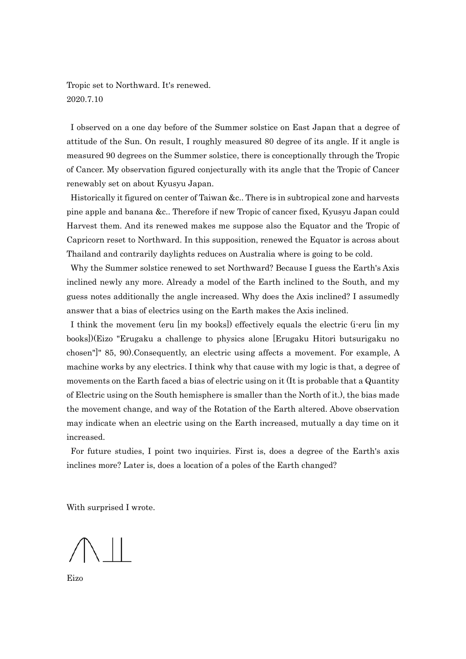Tropic set to Northward. It's renewed. 2020.7.10

 I observed on a one day before of the Summer solstice on East Japan that a degree of attitude of the Sun. On result, I roughly measured 80 degree of its angle. If it angle is measured 90 degrees on the Summer solstice, there is conceptionally through the Tropic of Cancer. My observation figured conjecturally with its angle that the Tropic of Cancer renewably set on about Kyusyu Japan.

 Historically it figured on center of Taiwan &c.. There is in subtropical zone and harvests pine apple and banana &c.. Therefore if new Tropic of cancer fixed, Kyusyu Japan could Harvest them. And its renewed makes me suppose also the Equator and the Tropic of Capricorn reset to Northward. In this supposition, renewed the Equator is across about Thailand and contrarily daylights reduces on Australia where is going to be cold.

 Why the Summer solstice renewed to set Northward? Because I guess the Earth's Axis inclined newly any more. Already a model of the Earth inclined to the South, and my guess notes additionally the angle increased. Why does the Axis inclined? I assumedly answer that a bias of electrics using on the Earth makes the Axis inclined.

 I think the movement (eru [in my books]) effectively equals the electric (i-eru [in my books])(Eizo "Erugaku a challenge to physics alone [Erugaku Hitori butsurigaku no chosen"]" 85, 90).Consequently, an electric using affects a movement. For example, A machine works by any electrics. I think why that cause with my logic is that, a degree of movements on the Earth faced a bias of electric using on it (It is probable that a Quantity of Electric using on the South hemisphere is smaller than the North of it.), the bias made the movement change, and way of the Rotation of the Earth altered. Above observation may indicate when an electric using on the Earth increased, mutually a day time on it increased.

 For future studies, I point two inquiries. First is, does a degree of the Earth's axis inclines more? Later is, does a location of a poles of the Earth changed?

With surprised I wrote.

Eizo